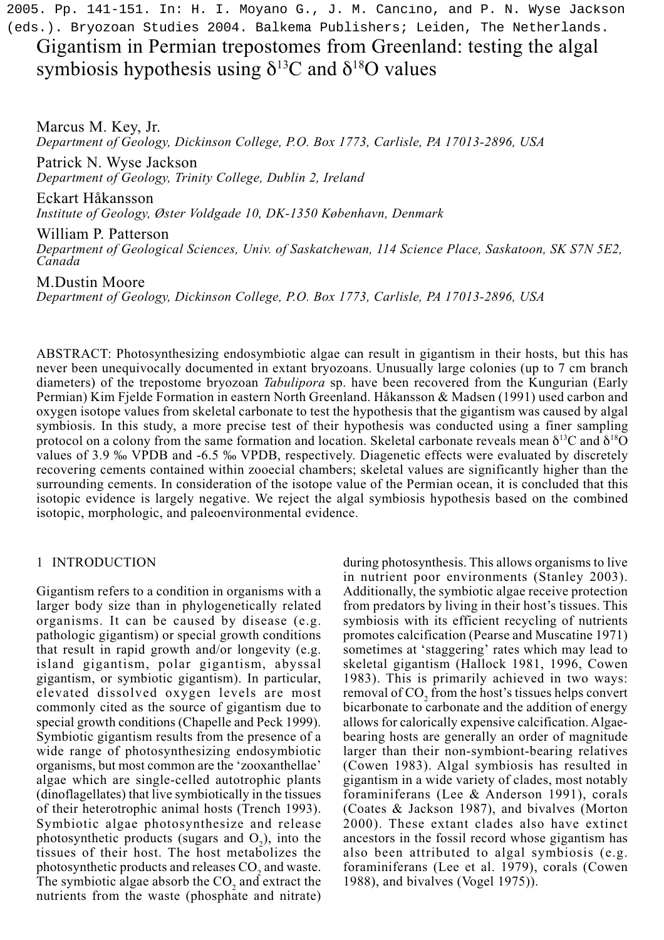2005. Pp. 141-151. In: H. I. Moyano G., J. M. Cancino, and P. N. Wyse Jackson (eds.). Bryozoan Studies 2004. Balkema Publishers; Leiden, The Netherlands.

Gigantism in Permian trepostomes from Greenland: testing the algal symbiosis hypothesis using  $\delta^{13}$ C and  $\delta^{18}$ O values

Marcus M. Key, Jr. *Department of Geology, Dickinson College, P.O. Box 1773, Carlisle, PA 17013-2896, USA*

Patrick N. Wyse Jackson *Department of Geology, Trinity College, Dublin 2, Ireland*

Eckart Håkansson

*Institute of Geology, Øster Voldgade 10, DK-1350 København, Denmark*

William P. Patterson

*Department of Geological Sciences, Univ. of Saskatchewan, 114 Science Place, Saskatoon, SK S7N 5E2, Canada*

M.Dustin Moore

*Department of Geology, Dickinson College, P.O. Box 1773, Carlisle, PA 17013-2896, USA*

ABSTRACT: Photosynthesizing endosymbiotic algae can result in gigantism in their hosts, but this has never been unequivocally documented in extant bryozoans. Unusually large colonies (up to 7 cm branch diameters) of the trepostome bryozoan *Tabulipora* sp. have been recovered from the Kungurian (Early Permian) Kim Fjelde Formation in eastern North Greenland. Håkansson & Madsen (1991) used carbon and oxygen isotope values from skeletal carbonate to test the hypothesis that the gigantism was caused by algal symbiosis. In this study, a more precise test of their hypothesis was conducted using a finer sampling protocol on a colony from the same formation and location. Skeletal carbonate reveals mean  $\delta^{13}C$  and  $\delta^{18}O$ values of 3.9 ‰ VPDB and -6.5 ‰ VPDB, respectively. Diagenetic effects were evaluated by discretely recovering cements contained within zooecial chambers; skeletal values are significantly higher than the surrounding cements. In consideration of the isotope value of the Permian ocean, it is concluded that this isotopic evidence is largely negative. We reject the algal symbiosis hypothesis based on the combined isotopic, morphologic, and paleoenvironmental evidence.

### 1 INTRODUCTION

Gigantism refers to a condition in organisms with a larger body size than in phylogenetically related organisms. It can be caused by disease (e.g. pathologic gigantism) or special growth conditions that result in rapid growth and/or longevity (e.g. island gigantism, polar gigantism, abyssal gigantism, or symbiotic gigantism). In particular, elevated dissolved oxygen levels are most commonly cited as the source of gigantism due to special growth conditions (Chapelle and Peck 1999). Symbiotic gigantism results from the presence of a wide range of photosynthesizing endosymbiotic organisms, but most common are the 'zooxanthellae' algae which are single-celled autotrophic plants (dinoflagellates) that live symbiotically in the tissues of their heterotrophic animal hosts (Trench 1993). Symbiotic algae photosynthesize and release photosynthetic products (sugars and  $O_2$ ), into the tissues of their host. The host metabolizes the photosynthetic products and releases CO<sub>2</sub> and waste. The symbiotic algae absorb the  $CO<sub>2</sub>$  and extract the nutrients from the waste (phosphate and nitrate) during photosynthesis. This allows organisms to live in nutrient poor environments (Stanley 2003). Additionally, the symbiotic algae receive protection from predators by living in their host's tissues. This symbiosis with its efficient recycling of nutrients promotes calcification (Pearse and Muscatine 1971) sometimes at 'staggering' rates which may lead to skeletal gigantism (Hallock 1981, 1996, Cowen 1983). This is primarily achieved in two ways: removal of CO<sub>2</sub> from the host's tissues helps convert bicarbonate to carbonate and the addition of energy allows for calorically expensive calcification. Algaebearing hosts are generally an order of magnitude larger than their non-symbiont-bearing relatives (Cowen 1983). Algal symbiosis has resulted in gigantism in a wide variety of clades, most notably foraminiferans (Lee & Anderson 1991), corals (Coates & Jackson 1987), and bivalves (Morton 2000). These extant clades also have extinct ancestors in the fossil record whose gigantism has also been attributed to algal symbiosis (e.g. foraminiferans (Lee et al. 1979), corals (Cowen 1988), and bivalves (Vogel 1975)).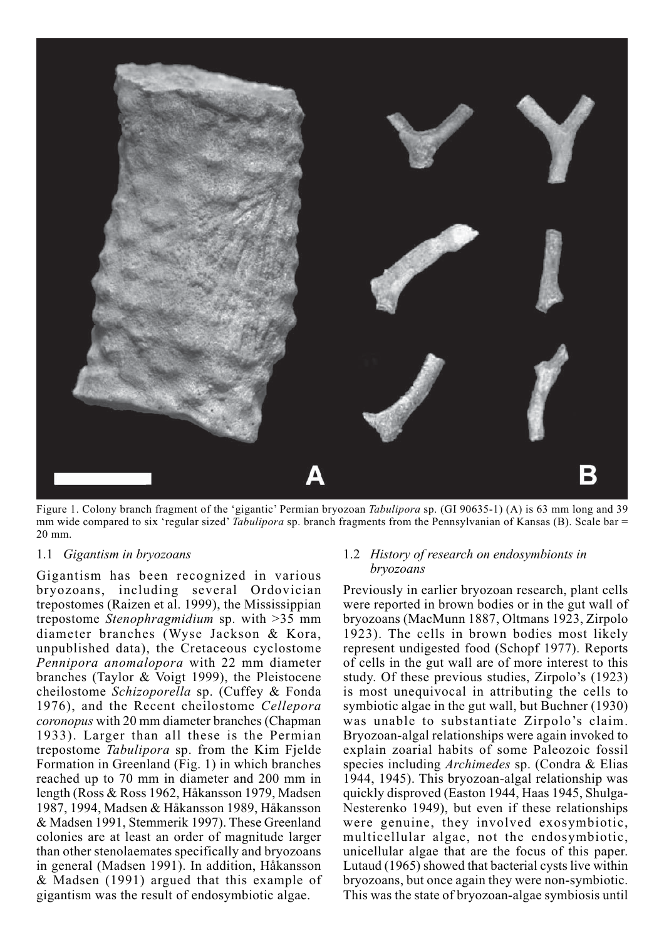

Figure 1. Colony branch fragment of the 'gigantic' Permian bryozoan *Tabulipora* sp. (GI 90635-1) (A) is 63 mm long and 39 mm wide compared to six 'regular sized' *Tabulipora* sp. branch fragments from the Pennsylvanian of Kansas (B). Scale bar = 20 mm.

#### 1.1 *Gigantism in bryozoans*

Gigantism has been recognized in various bryozoans, including several Ordovician trepostomes (Raizen et al. 1999), the Mississippian trepostome *Stenophragmidium* sp. with >35 mm diameter branches (Wyse Jackson & Kora, unpublished data), the Cretaceous cyclostome *Pennipora anomalopora* with 22 mm diameter branches (Taylor & Voigt 1999), the Pleistocene cheilostome *Schizoporella* sp. (Cuffey & Fonda 1976), and the Recent cheilostome *Cellepora coronopus* with 20 mm diameter branches (Chapman 1933). Larger than all these is the Permian trepostome *Tabulipora* sp. from the Kim Fjelde Formation in Greenland (Fig. 1) in which branches reached up to 70 mm in diameter and 200 mm in length (Ross & Ross 1962, Håkansson 1979, Madsen 1987, 1994, Madsen & Håkansson 1989, Håkansson & Madsen 1991, Stemmerik 1997). These Greenland colonies are at least an order of magnitude larger than other stenolaemates specifically and bryozoans in general (Madsen 1991). In addition, Håkansson & Madsen (1991) argued that this example of gigantism was the result of endosymbiotic algae.

# 1.2 *History of research on endosymbionts in bryozoans*

Previously in earlier bryozoan research, plant cells were reported in brown bodies or in the gut wall of bryozoans (MacMunn 1887, Oltmans 1923, Zirpolo 1923). The cells in brown bodies most likely represent undigested food (Schopf 1977). Reports of cells in the gut wall are of more interest to this study. Of these previous studies, Zirpolo's (1923) is most unequivocal in attributing the cells to symbiotic algae in the gut wall, but Buchner (1930) was unable to substantiate Zirpolo's claim. Bryozoan-algal relationships were again invoked to explain zoarial habits of some Paleozoic fossil species including *Archimedes* sp. (Condra & Elias 1944, 1945). This bryozoan-algal relationship was quickly disproved (Easton 1944, Haas 1945, Shulga-Nesterenko 1949), but even if these relationships were genuine, they involved exosymbiotic, multicellular algae, not the endosymbiotic, unicellular algae that are the focus of this paper. Lutaud (1965) showed that bacterial cysts live within bryozoans, but once again they were non-symbiotic. This was the state of bryozoan-algae symbiosis until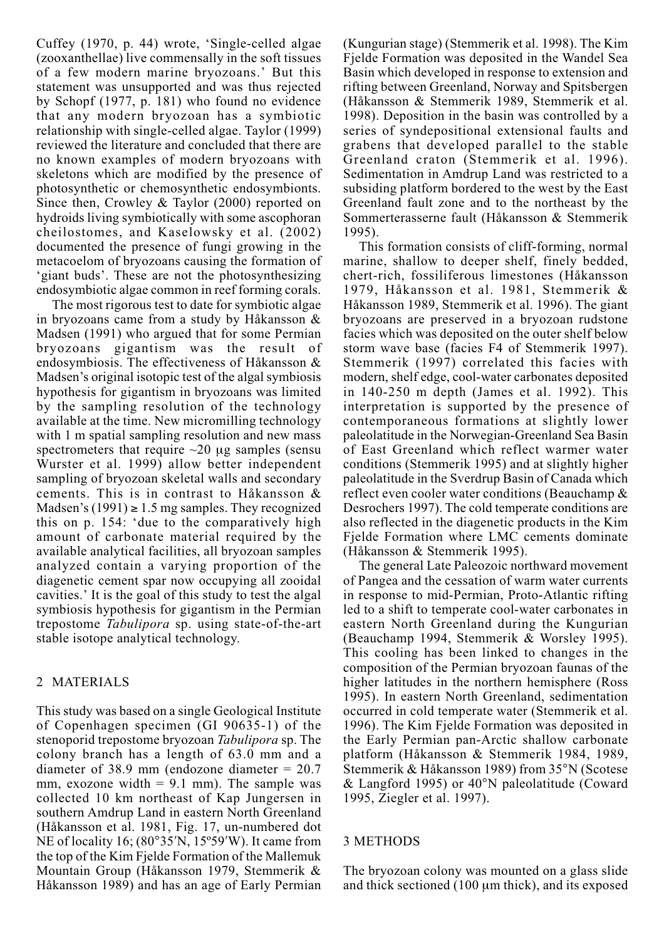Cuffey (1970, p. 44) wrote, 'Single-celled algae (zooxanthellae) live commensally in the soft tissues of a few modern marine bryozoans.' But this statement was unsupported and was thus rejected by Schopf (1977, p. 181) who found no evidence that any modern bryozoan has a symbiotic relationship with single-celled algae. Taylor (1999) reviewed the literature and concluded that there are no known examples of modern bryozoans with skeletons which are modified by the presence of photosynthetic or chemosynthetic endosymbionts. Since then, Crowley & Taylor (2000) reported on hydroids living symbiotically with some ascophoran cheilostomes, and Kaselowsky et al. (2002) documented the presence of fungi growing in the metacoelom of bryozoans causing the formation of 'giant buds'. These are not the photosynthesizing endosymbiotic algae common in reef forming corals.

The most rigorous test to date for symbiotic algae in bryozoans came from a study by Håkansson & Madsen (1991) who argued that for some Permian bryozoans gigantism was the result of endosymbiosis. The effectiveness of Håkansson & Madsen's original isotopic test of the algal symbiosis hypothesis for gigantism in bryozoans was limited by the sampling resolution of the technology available at the time. New micromilling technology with 1 m spatial sampling resolution and new mass spectrometers that require  $\sim$ 20 µg samples (sensu Wurster et al. 1999) allow better independent sampling of bryozoan skeletal walls and secondary cements. This is in contrast to Håkansson & Madsen's  $(1991) \ge 1.5$  mg samples. They recognized this on p. 154: 'due to the comparatively high amount of carbonate material required by the available analytical facilities, all bryozoan samples analyzed contain a varying proportion of the diagenetic cement spar now occupying all zooidal cavities.' It is the goal of this study to test the algal symbiosis hypothesis for gigantism in the Permian trepostome *Tabulipora* sp. using state-of-the-art stable isotope analytical technology.

# 2 MATERIALS

This study was based on a single Geological Institute of Copenhagen specimen (GI 90635-1) of the stenoporid trepostome bryozoan *Tabulipora* sp. The colony branch has a length of 63.0 mm and a diameter of 38.9 mm (endozone diameter = 20.7 mm, exozone width  $= 9.1$  mm). The sample was collected 10 km northeast of Kap Jungersen in southern Amdrup Land in eastern North Greenland (Håkansson et al. 1981, Fig. 17, un-numbered dot NE of locality 16; (80°35′N, 15º59′W). It came from the top of the Kim Fjelde Formation of the Mallemuk Mountain Group (Håkansson 1979, Stemmerik & Håkansson 1989) and has an age of Early Permian

(Kungurian stage) (Stemmerik et al. 1998). The Kim Fielde Formation was deposited in the Wandel Sea Basin which developed in response to extension and rifting between Greenland, Norway and Spitsbergen (Håkansson & Stemmerik 1989, Stemmerik et al. 1998). Deposition in the basin was controlled by a series of syndepositional extensional faults and grabens that developed parallel to the stable Greenland craton (Stemmerik et al. 1996). Sedimentation in Amdrup Land was restricted to a subsiding platform bordered to the west by the East Greenland fault zone and to the northeast by the Sommerterasserne fault (Håkansson & Stemmerik 1995).

This formation consists of cliff-forming, normal marine, shallow to deeper shelf, finely bedded, chert-rich, fossiliferous limestones (Håkansson 1979, Håkansson et al. 1981, Stemmerik & Håkansson 1989, Stemmerik et al. 1996). The giant bryozoans are preserved in a bryozoan rudstone facies which was deposited on the outer shelf below storm wave base (facies F4 of Stemmerik 1997). Stemmerik (1997) correlated this facies with modern, shelf edge, cool-water carbonates deposited in 140-250 m depth (James et al. 1992). This interpretation is supported by the presence of contemporaneous formations at slightly lower paleolatitude in the Norwegian-Greenland Sea Basin of East Greenland which reflect warmer water conditions (Stemmerik 1995) and at slightly higher paleolatitude in the Sverdrup Basin of Canada which reflect even cooler water conditions (Beauchamp & Desrochers 1997). The cold temperate conditions are also reflected in the diagenetic products in the Kim Fjelde Formation where LMC cements dominate (Håkansson & Stemmerik 1995).

The general Late Paleozoic northward movement of Pangea and the cessation of warm water currents in response to mid-Permian, Proto-Atlantic rifting led to a shift to temperate cool-water carbonates in eastern North Greenland during the Kungurian (Beauchamp 1994, Stemmerik & Worsley 1995). This cooling has been linked to changes in the composition of the Permian bryozoan faunas of the higher latitudes in the northern hemisphere (Ross 1995). In eastern North Greenland, sedimentation occurred in cold temperate water (Stemmerik et al. 1996). The Kim Fjelde Formation was deposited in the Early Permian pan-Arctic shallow carbonate platform (Håkansson & Stemmerik 1984, 1989, Stemmerik & Håkansson 1989) from 35°N (Scotese & Langford 1995) or 40°N paleolatitude (Coward 1995, Ziegler et al. 1997).

#### 3 METHODS

The bryozoan colony was mounted on a glass slide and thick sectioned  $(100 \mu m)$  thick), and its exposed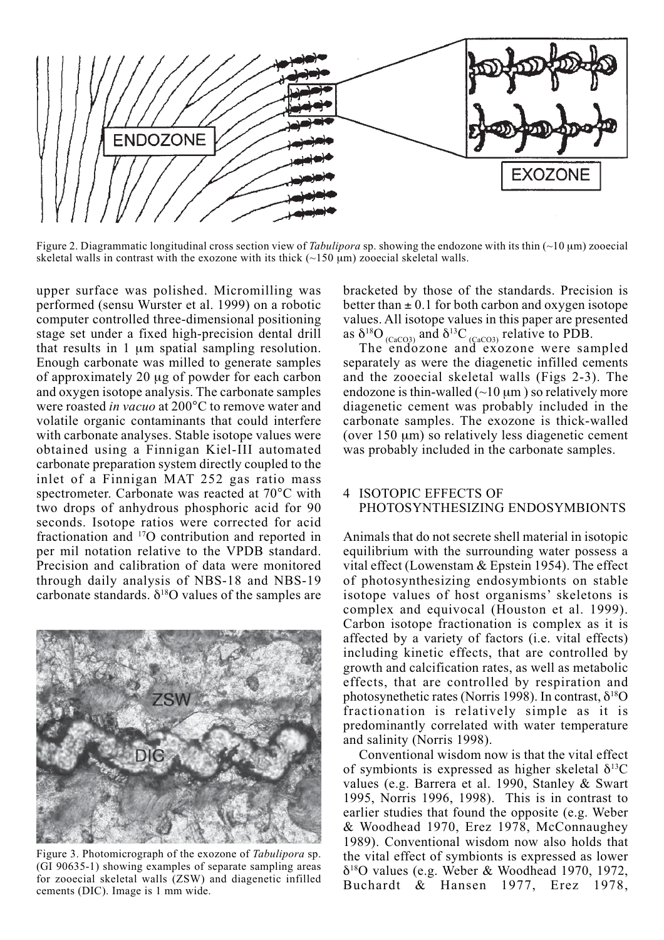

Figure 2. Diagrammatic longitudinal cross section view of *Tabulipora* sp. showing the endozone with its thin (~10 µm) zooecial skeletal walls in contrast with the exozone with its thick  $(\sim 150 \mu m)$  zooecial skeletal walls.

upper surface was polished. Micromilling was performed (sensu Wurster et al. 1999) on a robotic computer controlled three-dimensional positioning stage set under a fixed high-precision dental drill that results in 1 µm spatial sampling resolution. Enough carbonate was milled to generate samples of approximately 20 µg of powder for each carbon and oxygen isotope analysis. The carbonate samples were roasted *in vacuo* at 200°C to remove water and volatile organic contaminants that could interfere with carbonate analyses. Stable isotope values were obtained using a Finnigan Kiel-III automated carbonate preparation system directly coupled to the inlet of a Finnigan MAT 252 gas ratio mass spectrometer. Carbonate was reacted at 70°C with two drops of anhydrous phosphoric acid for 90 seconds. Isotope ratios were corrected for acid fractionation and 17O contribution and reported in per mil notation relative to the VPDB standard. Precision and calibration of data were monitored through daily analysis of NBS-18 and NBS-19 carbonate standards.  $\delta^{18}$ O values of the samples are



Figure 3. Photomicrograph of the exozone of *Tabulipora* sp. (GI 90635-1) showing examples of separate sampling areas for zooecial skeletal walls (ZSW) and diagenetic infilled cements (DIC). Image is 1 mm wide.

bracketed by those of the standards. Precision is better than  $\pm$  0.1 for both carbon and oxygen isotope values. All isotope values in this paper are presented as  $\delta^{18}O_{\text{(CaCO3)}}$  and  $\delta^{13}C_{\text{(CaCO3)}}$  relative to PDB.

The endozone and exozone were sampled separately as were the diagenetic infilled cements and the zooecial skeletal walls (Figs 2-3). The endozone is thin-walled  $(\sim 10 \,\mu m)$  so relatively more diagenetic cement was probably included in the carbonate samples. The exozone is thick-walled (over  $150 \mu m$ ) so relatively less diagenetic cement was probably included in the carbonate samples.

## 4 ISOTOPIC EFFECTS OF PHOTOSYNTHESIZING ENDOSYMBIONTS

Animals that do not secrete shell material in isotopic equilibrium with the surrounding water possess a vital effect (Lowenstam & Epstein 1954). The effect of photosynthesizing endosymbionts on stable isotope values of host organisms' skeletons is complex and equivocal (Houston et al. 1999). Carbon isotope fractionation is complex as it is affected by a variety of factors (i.e. vital effects) including kinetic effects, that are controlled by growth and calcification rates, as well as metabolic effects, that are controlled by respiration and photosynethetic rates (Norris 1998). In contrast,  $\delta^{18}O$ fractionation is relatively simple as it is predominantly correlated with water temperature and salinity (Norris 1998).

Conventional wisdom now is that the vital effect of symbionts is expressed as higher skeletal  $\delta^{13}C$ values (e.g. Barrera et al. 1990, Stanley & Swart 1995, Norris 1996, 1998). This is in contrast to earlier studies that found the opposite (e.g. Weber & Woodhead 1970, Erez 1978, McConnaughey 1989). Conventional wisdom now also holds that the vital effect of symbionts is expressed as lower  $\delta^{18}$ O values (e.g. Weber & Woodhead 1970, 1972, Buchardt & Hansen 1977, Erez 1978,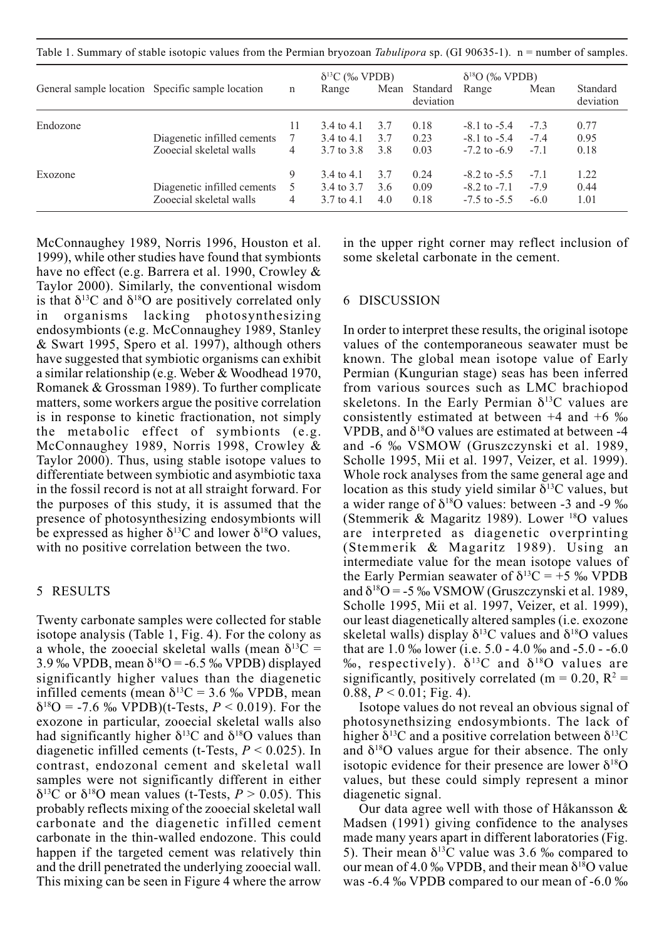Table 1. Summary of stable isotopic values from the Permian bryozoan *Tabulipora* sp. (GI 90635-1). n = number of samples.

|          | General sample location Specific sample location       | $\mathbf n$  | $\delta^{13}C$ (% VPDB)<br>Range                  | Mean              | Standard<br>deviation | $\delta^{18}O$ (% VPDB)<br>Range                         | Mean                       | Standard<br>deviation |
|----------|--------------------------------------------------------|--------------|---------------------------------------------------|-------------------|-----------------------|----------------------------------------------------------|----------------------------|-----------------------|
| Endozone | Diagenetic infilled cements<br>Zooecial skeletal walls | 11<br>7<br>4 | 3.4 to 4.1<br>3.4 to 4.1<br>3.7 to 3.8            | 3.7<br>3.7<br>3.8 | 0.18<br>0.23<br>0.03  | $-8.1$ to $-5.4$<br>$-8.1$ to $-5.4$<br>$-7.2$ to $-6.9$ | $-7.3$<br>$-7.4$<br>$-7.1$ | 0.77<br>0.95<br>0.18  |
| Exozone  | Diagenetic infilled cements<br>Zooecial skeletal walls | 9<br>5<br>4  | 3.4 to 4.1<br>3.4 to 3.7<br>$3.7 \text{ to } 4.1$ | 3.7<br>3.6<br>4.0 | 0.24<br>0.09<br>0.18  | $-8.2$ to $-5.5$<br>$-8.2$ to $-7.1$<br>$-7.5$ to $-5.5$ | $-7.1$<br>$-7.9$<br>$-6.0$ | 1.22<br>0.44<br>1.01  |

McConnaughey 1989, Norris 1996, Houston et al. 1999), while other studies have found that symbionts have no effect (e.g. Barrera et al. 1990, Crowley & Taylor 2000). Similarly, the conventional wisdom is that  $\delta^{13}$ C and  $\delta^{18}$ O are positively correlated only in organisms lacking photosynthesizing endosymbionts (e.g. McConnaughey 1989, Stanley & Swart 1995, Spero et al. 1997), although others have suggested that symbiotic organisms can exhibit a similar relationship (e.g. Weber & Woodhead 1970, Romanek & Grossman 1989). To further complicate matters, some workers argue the positive correlation is in response to kinetic fractionation, not simply the metabolic effect of symbionts (e.g. McConnaughey 1989, Norris 1998, Crowley & Taylor 2000). Thus, using stable isotope values to differentiate between symbiotic and asymbiotic taxa in the fossil record is not at all straight forward. For the purposes of this study, it is assumed that the presence of photosynthesizing endosymbionts will be expressed as higher  $\delta^{13}$ C and lower  $\delta^{18}$ O values, with no positive correlation between the two.

#### 5 RESULTS

Twenty carbonate samples were collected for stable isotope analysis (Table 1, Fig. 4). For the colony as a whole, the zooecial skeletal walls (mean  $\delta^{13}C =$ 3.9 ‰ VPDB, mean  $\delta^{18}O = -6.5$  ‰ VPDB) displayed significantly higher values than the diagenetic infilled cements (mean  $\delta^{13}C = 3.6 \%$  VPDB, mean  $\delta^{18}O = -7.6$  % VPDB)(t-Tests,  $P < 0.019$ ). For the exozone in particular, zooecial skeletal walls also had significantly higher  $\delta^{13}$ C and  $\delta^{18}$ O values than diagenetic infilled cements (t-Tests, *P* < 0.025). In contrast, endozonal cement and skeletal wall samples were not significantly different in either δ<sup>13</sup>C or δ<sup>18</sup>O mean values (t-Tests,  $P > 0.05$ ). This probably reflects mixing of the zooecial skeletal wall carbonate and the diagenetic infilled cement carbonate in the thin-walled endozone. This could happen if the targeted cement was relatively thin and the drill penetrated the underlying zooecial wall. This mixing can be seen in Figure 4 where the arrow

in the upper right corner may reflect inclusion of some skeletal carbonate in the cement.

### 6 DISCUSSION

In order to interpret these results, the original isotope values of the contemporaneous seawater must be known. The global mean isotope value of Early Permian (Kungurian stage) seas has been inferred from various sources such as LMC brachiopod skeletons. In the Early Permian  $\delta^{13}$ C values are consistently estimated at between +4 and +6 ‰ VPDB, and  $\delta^{18}O$  values are estimated at between -4 and -6 ‰ VSMOW (Gruszczynski et al. 1989, Scholle 1995, Mii et al. 1997, Veizer, et al. 1999). Whole rock analyses from the same general age and location as this study yield similar  $\delta^{13}$ C values, but a wider range of  $\delta^{18}$ O values: between -3 and -9  $\%$ (Stemmerik & Magaritz 1989). Lower 18O values are interpreted as diagenetic overprinting (Stemmerik & Magaritz 1989). Using an intermediate value for the mean isotope values of the Early Permian seawater of  $\delta^{13}C = +5\%$  VPDB and  $\delta^{18}O = -5\%$  VSMOW (Gruszczynski et al. 1989, Scholle 1995, Mii et al. 1997, Veizer, et al. 1999), our least diagenetically altered samples (i.e. exozone skeletal walls) display  $\delta^{13}$ C values and  $\delta^{18}$ O values that are 1.0 ‰ lower (i.e. 5.0 - 4.0 ‰ and -5.0 - -6.0 %, respectively).  $\delta^{13}$ C and  $\delta^{18}$ O values are significantly, positively correlated (m =  $0.20$ , R<sup>2</sup> = 0.88,  $P < 0.01$ ; Fig. 4).

Isotope values do not reveal an obvious signal of photosynethsizing endosymbionts. The lack of higher  $\delta^{13}$ C and a positive correlation between  $\delta^{13}$ C and  $\delta^{18}$ O values argue for their absence. The only isotopic evidence for their presence are lower  $\delta^{18}$ O values, but these could simply represent a minor diagenetic signal.

Our data agree well with those of Håkansson & Madsen (1991) giving confidence to the analyses made many years apart in different laboratories (Fig. 5). Their mean  $\delta^{13}$ C value was 3.6 ‰ compared to our mean of 4.0 ‰ VPDB, and their mean  $\delta^{18}O$  value was -6.4 ‰ VPDB compared to our mean of -6.0 ‰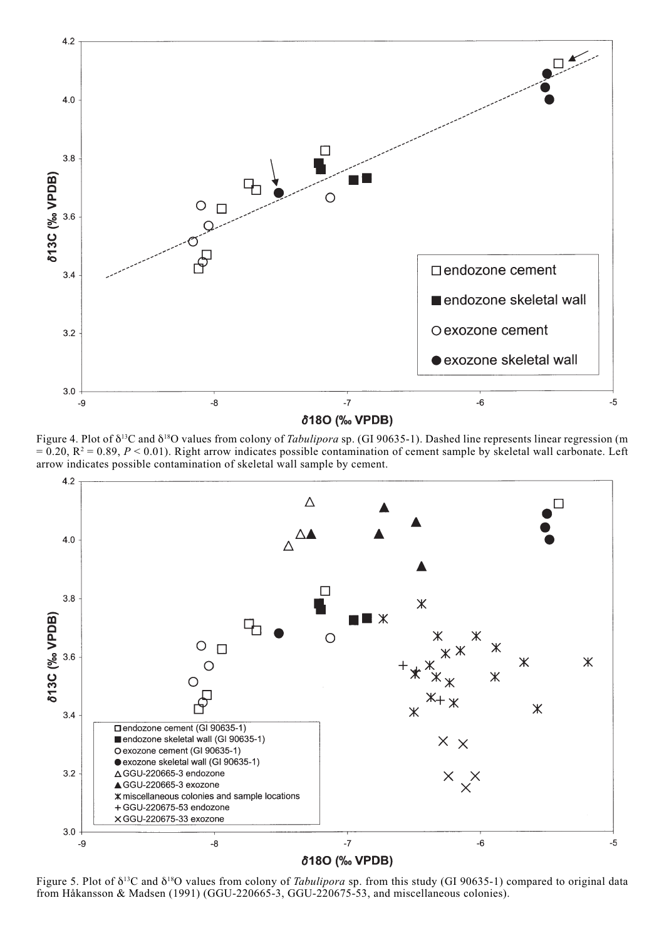

Figure 4. Plot of δ13C and δ18O values from colony of *Tabulipora* sp. (GI 90635-1). Dashed line represents linear regression (m  $= 0.20$ ,  $R^2 = 0.89$ ,  $P < 0.01$ ). Right arrow indicates possible contamination of cement sample by skeletal wall carbonate. Left arrow indicates possible contamination of skeletal wall sample by cement.



Figure 5. Plot of δ13C and δ18O values from colony of *Tabulipora* sp. from this study (GI 90635-1) compared to original data from Håkansson & Madsen (1991) (GGU-220665-3, GGU-220675-53, and miscellaneous colonies).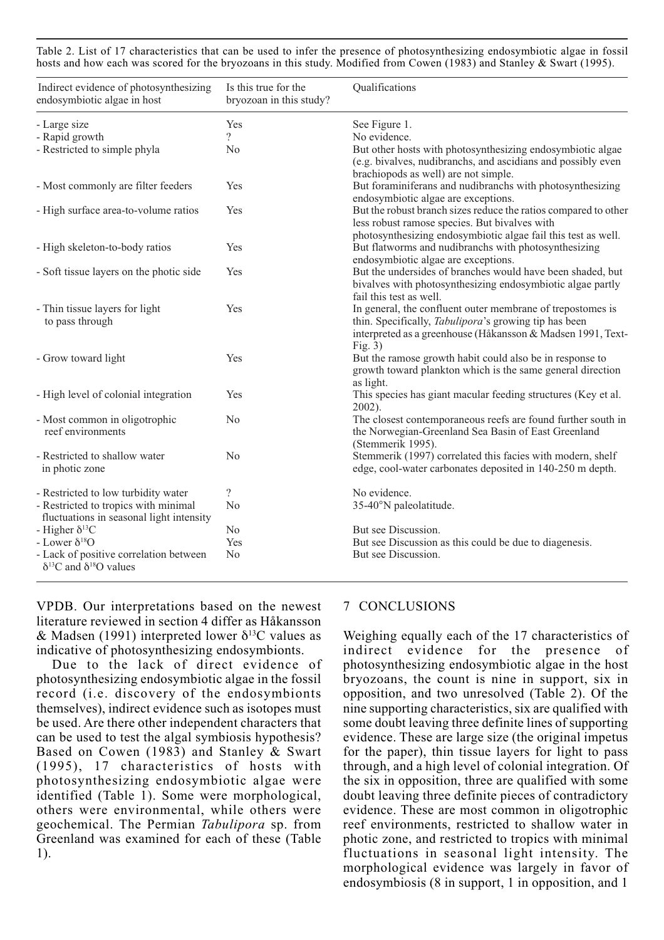Table 2. List of 17 characteristics that can be used to infer the presence of photosynthesizing endosymbiotic algae in fossil hosts and how each was scored for the bryozoans in this study. Modified from Cowen (1983) and Stanley & Swart (1995).

| Indirect evidence of photosynthesizing<br>endosymbiotic algae in host                | Is this true for the<br>bryozoan in this study? | Qualifications                                                                                                                                                                                          |
|--------------------------------------------------------------------------------------|-------------------------------------------------|---------------------------------------------------------------------------------------------------------------------------------------------------------------------------------------------------------|
| - Large size                                                                         | Yes                                             | See Figure 1.                                                                                                                                                                                           |
| - Rapid growth                                                                       | 2                                               | No evidence.                                                                                                                                                                                            |
| - Restricted to simple phyla                                                         | N <sub>0</sub>                                  | But other hosts with photosynthesizing endosymbiotic algae<br>(e.g. bivalves, nudibranchs, and ascidians and possibly even<br>brachiopods as well) are not simple.                                      |
| - Most commonly are filter feeders                                                   | Yes                                             | But foraminiferans and nudibranchs with photosynthesizing<br>endosymbiotic algae are exceptions.                                                                                                        |
| - High surface area-to-volume ratios                                                 | Yes                                             | But the robust branch sizes reduce the ratios compared to other<br>less robust ramose species. But bivalves with<br>photosynthesizing endosymbiotic algae fail this test as well.                       |
| - High skeleton-to-body ratios                                                       | Yes                                             | But flatworms and nudibranchs with photosynthesizing<br>endosymbiotic algae are exceptions.                                                                                                             |
| - Soft tissue layers on the photic side                                              | Yes                                             | But the undersides of branches would have been shaded, but<br>bivalves with photosynthesizing endosymbiotic algae partly<br>fail this test as well.                                                     |
| - Thin tissue layers for light<br>to pass through                                    | Yes                                             | In general, the confluent outer membrane of trepostomes is<br>thin. Specifically, <i>Tabulipora</i> 's growing tip has been<br>interpreted as a greenhouse (Håkansson & Madsen 1991, Text-<br>Fig. $3)$ |
| - Grow toward light                                                                  | Yes                                             | But the ramose growth habit could also be in response to<br>growth toward plankton which is the same general direction<br>as light.                                                                     |
| - High level of colonial integration                                                 | Yes                                             | This species has giant macular feeding structures (Key et al.<br>2002).                                                                                                                                 |
| - Most common in oligotrophic<br>reef environments                                   | N <sub>0</sub>                                  | The closest contemporaneous reefs are found further south in<br>the Norwegian-Greenland Sea Basin of East Greenland<br>(Stemmerik 1995).                                                                |
| - Restricted to shallow water<br>in photic zone                                      | N <sub>o</sub>                                  | Stemmerik (1997) correlated this facies with modern, shelf<br>edge, cool-water carbonates deposited in 140-250 m depth.                                                                                 |
| - Restricted to low turbidity water                                                  | $\overline{\mathcal{L}}$                        | No evidence.                                                                                                                                                                                            |
| - Restricted to tropics with minimal<br>fluctuations in seasonal light intensity     | N <sub>o</sub>                                  | 35-40°N paleolatitude.                                                                                                                                                                                  |
| - Higher $\delta^{13}C$                                                              | N <sub>0</sub>                                  | But see Discussion.                                                                                                                                                                                     |
| - Lower $\delta^{18}O$                                                               | Yes                                             | But see Discussion as this could be due to diagenesis.                                                                                                                                                  |
| - Lack of positive correlation between<br>$\delta^{13}$ C and $\delta^{18}$ O values | N <sub>o</sub>                                  | But see Discussion.                                                                                                                                                                                     |

VPDB. Our interpretations based on the newest literature reviewed in section 4 differ as Håkansson & Madsen (1991) interpreted lower  $\delta^{13}$ C values as indicative of photosynthesizing endosymbionts.

Due to the lack of direct evidence of photosynthesizing endosymbiotic algae in the fossil record (i.e. discovery of the endosymbionts themselves), indirect evidence such as isotopes must be used. Are there other independent characters that can be used to test the algal symbiosis hypothesis? Based on Cowen (1983) and Stanley & Swart (1995), 17 characteristics of hosts with photosynthesizing endosymbiotic algae were identified (Table 1). Some were morphological, others were environmental, while others were geochemical. The Permian *Tabulipora* sp. from Greenland was examined for each of these (Table 1).

## 7 CONCLUSIONS

Weighing equally each of the 17 characteristics of indirect evidence for the presence of photosynthesizing endosymbiotic algae in the host bryozoans, the count is nine in support, six in opposition, and two unresolved (Table 2). Of the nine supporting characteristics, six are qualified with some doubt leaving three definite lines of supporting evidence. These are large size (the original impetus for the paper), thin tissue layers for light to pass through, and a high level of colonial integration. Of the six in opposition, three are qualified with some doubt leaving three definite pieces of contradictory evidence. These are most common in oligotrophic reef environments, restricted to shallow water in photic zone, and restricted to tropics with minimal fluctuations in seasonal light intensity. The morphological evidence was largely in favor of endosymbiosis (8 in support, 1 in opposition, and 1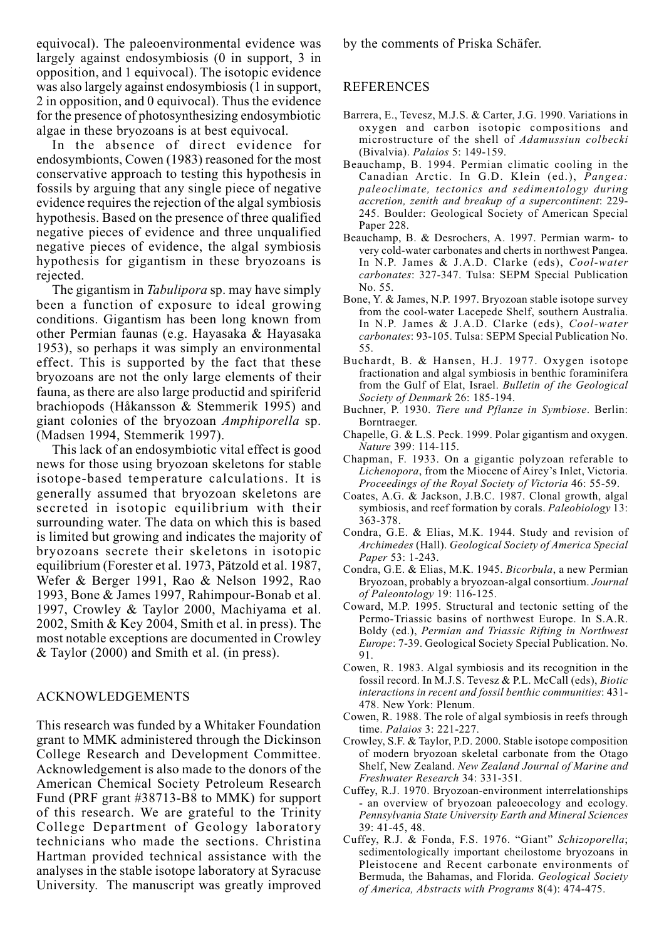equivocal). The paleoenvironmental evidence was largely against endosymbiosis (0 in support, 3 in opposition, and 1 equivocal). The isotopic evidence was also largely against endosymbiosis (1 in support, 2 in opposition, and 0 equivocal). Thus the evidence for the presence of photosynthesizing endosymbiotic algae in these bryozoans is at best equivocal.

In the absence of direct evidence for endosymbionts, Cowen (1983) reasoned for the most conservative approach to testing this hypothesis in fossils by arguing that any single piece of negative evidence requires the rejection of the algal symbiosis hypothesis. Based on the presence of three qualified negative pieces of evidence and three unqualified negative pieces of evidence, the algal symbiosis hypothesis for gigantism in these bryozoans is rejected.

The gigantism in *Tabulipora* sp. may have simply been a function of exposure to ideal growing conditions. Gigantism has been long known from other Permian faunas (e.g. Hayasaka & Hayasaka 1953), so perhaps it was simply an environmental effect. This is supported by the fact that these bryozoans are not the only large elements of their fauna, as there are also large productid and spiriferid brachiopods (Håkansson & Stemmerik 1995) and giant colonies of the bryozoan *Amphiporella* sp. (Madsen 1994, Stemmerik 1997).

This lack of an endosymbiotic vital effect is good news for those using bryozoan skeletons for stable isotope-based temperature calculations. It is generally assumed that bryozoan skeletons are secreted in isotopic equilibrium with their surrounding water. The data on which this is based is limited but growing and indicates the majority of bryozoans secrete their skeletons in isotopic equilibrium (Forester et al. 1973, Pätzold et al. 1987, Wefer & Berger 1991, Rao & Nelson 1992, Rao 1993, Bone & James 1997, Rahimpour-Bonab et al. 1997, Crowley & Taylor 2000, Machiyama et al. 2002, Smith & Key 2004, Smith et al. in press). The most notable exceptions are documented in Crowley & Taylor (2000) and Smith et al. (in press).

# ACKNOWLEDGEMENTS

This research was funded by a Whitaker Foundation grant to MMK administered through the Dickinson College Research and Development Committee. Acknowledgement is also made to the donors of the American Chemical Society Petroleum Research Fund (PRF grant #38713-B8 to MMK) for support of this research. We are grateful to the Trinity College Department of Geology laboratory technicians who made the sections. Christina Hartman provided technical assistance with the analyses in the stable isotope laboratory at Syracuse University. The manuscript was greatly improved by the comments of Priska Schäfer.

#### REFERENCES

- Barrera, E., Tevesz, M.J.S. & Carter, J.G. 1990. Variations in oxygen and carbon isotopic compositions and microstructure of the shell of *Adamussiun colbecki* (Bivalvia). *Palaios* 5: 149-159.
- Beauchamp, B. 1994. Permian climatic cooling in the Canadian Arctic. In G.D. Klein (ed.), *Pangea: paleoclimate, tectonics and sedimentology during accretion, zenith and breakup of a supercontinent*: 229- 245. Boulder: Geological Society of American Special Paper 228.
- Beauchamp, B. & Desrochers, A. 1997. Permian warm- to very cold-water carbonates and cherts in northwest Pangea. In N.P. James & J.A.D. Clarke (eds), *Cool-water carbonates*: 327-347. Tulsa: SEPM Special Publication No. 55.
- Bone, Y. & James, N.P. 1997. Bryozoan stable isotope survey from the cool-water Lacepede Shelf, southern Australia. In N.P. James & J.A.D. Clarke (eds), *Cool-water carbonates*: 93-105. Tulsa: SEPM Special Publication No. 55.
- Buchardt, B. & Hansen, H.J. 1977. Oxygen isotope fractionation and algal symbiosis in benthic foraminifera from the Gulf of Elat, Israel. *Bulletin of the Geological Society of Denmark* 26: 185-194.
- Buchner, P. 1930. *Tiere und Pflanze in Symbiose*. Berlin: Borntraeger.
- Chapelle, G. & L.S. Peck. 1999. Polar gigantism and oxygen. *Nature* 399: 114-115.
- Chapman, F. 1933. On a gigantic polyzoan referable to *Lichenopora*, from the Miocene of Airey's Inlet, Victoria. *Proceedings of the Royal Society of Victoria* 46: 55-59.
- Coates, A.G. & Jackson, J.B.C. 1987. Clonal growth, algal symbiosis, and reef formation by corals. *Paleobiology* 13: 363-378.
- Condra, G.E. & Elias, M.K. 1944. Study and revision of *Archimedes* (Hall). *Geological Society of America Special Paper* 53: 1-243.
- Condra, G.E. & Elias, M.K. 1945. *Bicorbula*, a new Permian Bryozoan, probably a bryozoan-algal consortium. *Journal of Paleontology* 19: 116-125.
- Coward, M.P. 1995. Structural and tectonic setting of the Permo-Triassic basins of northwest Europe. In S.A.R. Boldy (ed.), *Permian and Triassic Rifting in Northwest Europe*: 7-39. Geological Society Special Publication. No. 91.
- Cowen, R. 1983. Algal symbiosis and its recognition in the fossil record. In M.J.S. Tevesz & P.L. McCall (eds), *Biotic interactions in recent and fossil benthic communities*: 431- 478. New York: Plenum.
- Cowen, R. 1988. The role of algal symbiosis in reefs through time. *Palaios* 3: 221-227.
- Crowley, S.F. & Taylor, P.D. 2000. Stable isotope composition of modern bryozoan skeletal carbonate from the Otago Shelf, New Zealand. *New Zealand Journal of Marine and Freshwater Research* 34: 331-351.
- Cuffey, R.J. 1970. Bryozoan-environment interrelationships - an overview of bryozoan paleoecology and ecology. *Pennsylvania State University Earth and Mineral Sciences* 39: 41-45, 48.
- Cuffey, R.J. & Fonda, F.S. 1976. "Giant" *Schizoporella*; sedimentologically important cheilostome bryozoans in Pleistocene and Recent carbonate environments of Bermuda, the Bahamas, and Florida. *Geological Society of America, Abstracts with Programs* 8(4): 474-475.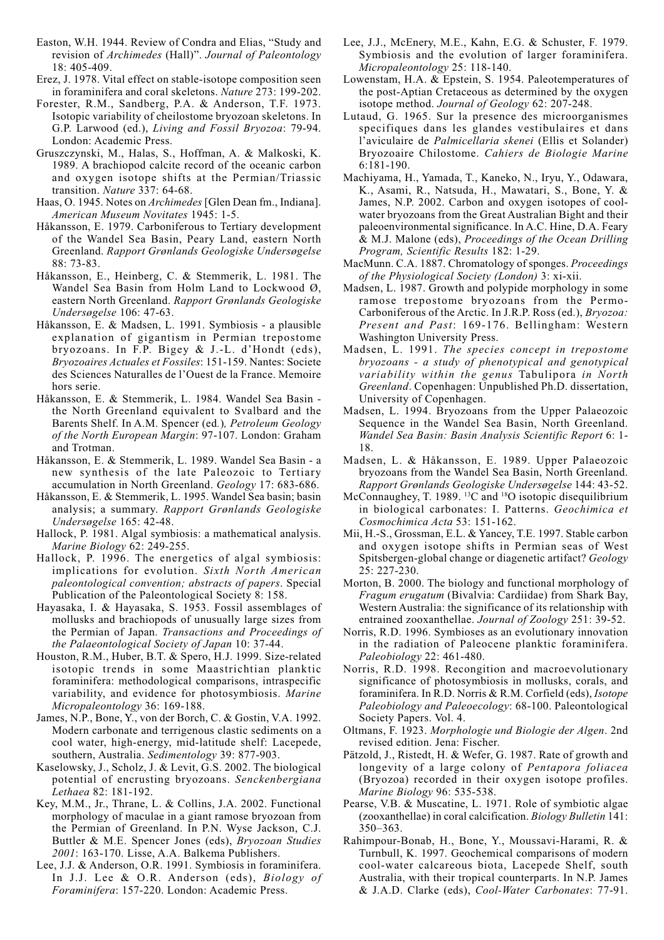- Easton, W.H. 1944. Review of Condra and Elias, "Study and revision of *Archimedes* (Hall)". *Journal of Paleontology* 18: 405-409.
- Erez, J. 1978. Vital effect on stable-isotope composition seen in foraminifera and coral skeletons. *Nature* 273: 199-202.
- Forester, R.M., Sandberg, P.A. & Anderson, T.F. 1973. Isotopic variability of cheilostome bryozoan skeletons. In G.P. Larwood (ed.), *Living and Fossil Bryozoa*: 79-94. London: Academic Press.
- Gruszczynski, M., Halas, S., Hoffman, A. & Malkoski, K. 1989. A brachiopod calcite record of the oceanic carbon and oxygen isotope shifts at the Permian/Triassic transition. *Nature* 337: 64-68.
- Haas, O. 1945. Notes on *Archimedes* [Glen Dean fm., Indiana]. *American Museum Novitates* 1945: 1-5.
- Håkansson, E. 1979. Carboniferous to Tertiary development of the Wandel Sea Basin, Peary Land, eastern North Greenland. *Rapport Grønlands Geologiske Undersøgelse* 88: 73-83.
- Håkansson, E., Heinberg, C. & Stemmerik, L. 1981. The Wandel Sea Basin from Holm Land to Lockwood Ø, eastern North Greenland. *Rapport Grønlands Geologiske Undersøgelse* 106: 47-63.
- Håkansson, E. & Madsen, L. 1991. Symbiosis a plausible explanation of gigantism in Permian trepostome bryozoans. In F.P. Bigey & J.-L. d'Hondt (eds), *Bryozoaires Actuales et Fossiles*: 151-159. Nantes: Societe des Sciences Naturalles de l'Ouest de la France. Memoire hors serie.
- Håkansson, E. & Stemmerik, L. 1984. Wandel Sea Basin the North Greenland equivalent to Svalbard and the Barents Shelf. In A.M. Spencer (ed*.*)*, Petroleum Geology of the North European Margin*: 97-107. London: Graham and Trotman.
- Håkansson, E. & Stemmerik, L. 1989. Wandel Sea Basin a new synthesis of the late Paleozoic to Tertiary accumulation in North Greenland. *Geology* 17: 683-686.
- Håkansson, E. & Stemmerik, L. 1995. Wandel Sea basin; basin analysis; a summary. *Rapport Grønlands Geologiske Undersøgelse* 165: 42-48.
- Hallock, P. 1981. Algal symbiosis: a mathematical analysis. *Marine Biology* 62: 249-255.
- Hallock, P. 1996. The energetics of algal symbiosis: implications for evolution. *Sixth North American paleontological convention; abstracts of papers*. Special Publication of the Paleontological Society 8: 158.
- Hayasaka, I. & Hayasaka, S. 1953. Fossil assemblages of mollusks and brachiopods of unusually large sizes from the Permian of Japan. *Transactions and Proceedings of the Palaeontological Society of Japan* 10: 37-44.
- Houston, R.M., Huber, B.T. & Spero, H.J. 1999. Size-related isotopic trends in some Maastrichtian planktic foraminifera: methodological comparisons, intraspecific variability, and evidence for photosymbiosis. *Marine Micropaleontology* 36: 169-188.
- James, N.P., Bone, Y., von der Borch, C. & Gostin, V.A. 1992. Modern carbonate and terrigenous clastic sediments on a cool water, high-energy, mid-latitude shelf: Lacepede, southern, Australia. *Sedimentology* 39: 877-903.
- Kaselowsky, J., Scholz, J. & Levit, G.S. 2002. The biological potential of encrusting bryozoans. *Senckenbergiana Lethaea* 82: 181-192.
- Key, M.M., Jr., Thrane, L. & Collins, J.A. 2002. Functional morphology of maculae in a giant ramose bryozoan from the Permian of Greenland. In P.N. Wyse Jackson, C.J. Buttler & M.E. Spencer Jones (eds), *Bryozoan Studies 2001*: 163-170. Lisse, A.A. Balkema Publishers.
- Lee, J.J. & Anderson, O.R. 1991. Symbiosis in foraminifera. In J.J. Lee & O.R. Anderson (eds), *Biology of Foraminifera*: 157-220. London: Academic Press.
- Lee, J.J., McEnery, M.E., Kahn, E.G. & Schuster, F. 1979. Symbiosis and the evolution of larger foraminifera. *Micropaleontology* 25: 118-140.
- Lowenstam, H.A. & Epstein, S. 1954. Paleotemperatures of the post-Aptian Cretaceous as determined by the oxygen isotope method. *Journal of Geology* 62: 207-248.
- Lutaud, G. 1965. Sur la presence des microorganismes specifiques dans les glandes vestibulaires et dans l'aviculaire de *Palmicellaria skenei* (Ellis et Solander) Bryozoaire Chilostome. *Cahiers de Biologie Marine* 6:181-190.
- Machiyama, H., Yamada, T., Kaneko, N., Iryu, Y., Odawara, K., Asami, R., Natsuda, H., Mawatari, S., Bone, Y. & James, N.P. 2002. Carbon and oxygen isotopes of coolwater bryozoans from the Great Australian Bight and their paleoenvironmental significance. In A.C. Hine, D.A. Feary & M.J. Malone (eds), *Proceedings of the Ocean Drilling Program, Scientific Results* 182: 1-29.
- MacMunn. C.A. 1887. Chromatology of sponges. *Proceedings of the Physiological Society (London)* 3: xi-xii.
- Madsen, L. 1987. Growth and polypide morphology in some ramose trepostome bryozoans from the Permo-Carboniferous of the Arctic. In J.R.P. Ross (ed.), *Bryozoa: Present and Past*: 169-176. Bellingham: Western Washington University Press.
- Madsen, L. 1991. *The species concept in trepostome bryozoans - a study of phenotypical and genotypical variability within the genus* Tabulipora *in North Greenland*. Copenhagen: Unpublished Ph.D. dissertation, University of Copenhagen.
- Madsen, L. 1994. Bryozoans from the Upper Palaeozoic Sequence in the Wandel Sea Basin, North Greenland. *Wandel Sea Basin: Basin Analysis Scientific Report* 6: 1- 18.
- Madsen, L. & Håkansson, E. 1989. Upper Palaeozoic bryozoans from the Wandel Sea Basin, North Greenland. *Rapport Grønlands Geologiske Undersøgelse* 144: 43-52.
- McConnaughey, T. 1989. <sup>13</sup>C and <sup>18</sup>O isotopic disequilibrium in biological carbonates: I. Patterns. *Geochimica et Cosmochimica Acta* 53: 151-162.
- Mii, H.-S., Grossman, E.L. & Yancey, T.E. 1997. Stable carbon and oxygen isotope shifts in Permian seas of West Spitsbergen-global change or diagenetic artifact? *Geology* 25: 227-230.
- Morton, B. 2000. The biology and functional morphology of *Fragum erugatum* (Bivalvia: Cardiidae) from Shark Bay, Western Australia: the significance of its relationship with entrained zooxanthellae. *Journal of Zoology* 251: 39-52.
- Norris, R.D. 1996. Symbioses as an evolutionary innovation in the radiation of Paleocene planktic foraminifera. *Paleobiology* 22: 461-480.
- Norris, R.D. 1998. Recongition and macroevolutionary significance of photosymbiosis in mollusks, corals, and foraminifera. In R.D. Norris & R.M. Corfield (eds), *Isotope Paleobiology and Paleoecology*: 68-100. Paleontological Society Papers. Vol. 4.
- Oltmans, F. 1923. *Morphologie und Biologie der Algen*. 2nd revised edition. Jena: Fischer.
- Pätzold, J., Ristedt, H. & Wefer, G. 1987. Rate of growth and longevity of a large colony of *Pentapora foliacea* (Bryozoa) recorded in their oxygen isotope profiles. *Marine Biology* 96: 535-538.
- Pearse, V.B. & Muscatine, L. 1971. Role of symbiotic algae (zooxanthellae) in coral calcification. *Biology Bulletin* 141: 350–363.
- Rahimpour-Bonab, H., Bone, Y., Moussavi-Harami, R. & Turnbull, K. 1997. Geochemical comparisons of modern cool-water calcareous biota, Lacepede Shelf, south Australia, with their tropical counterparts. In N.P. James & J.A.D. Clarke (eds), *Cool-Water Carbonates*: 77-91.